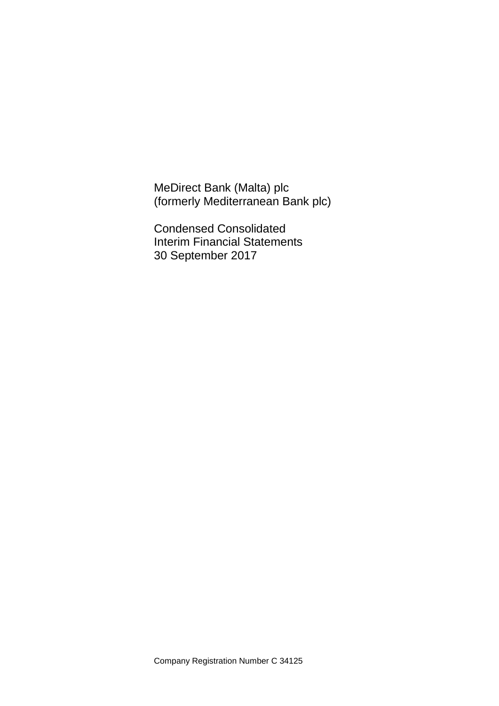MeDirect Bank (Malta) plc (formerly Mediterranean Bank plc)

Condensed Consolidated Interim Financial Statements 30 September 2017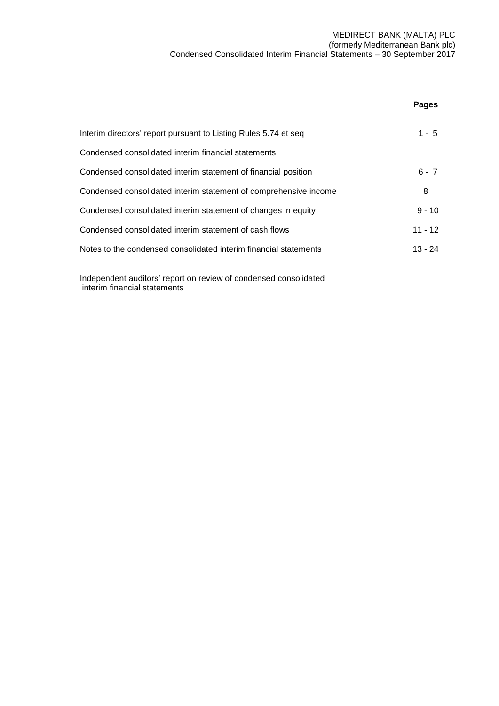|                                                                  | Pages     |
|------------------------------------------------------------------|-----------|
| Interim directors' report pursuant to Listing Rules 5.74 et seq  | $1 - 5$   |
| Condensed consolidated interim financial statements:             |           |
| Condensed consolidated interim statement of financial position   | $6 - 7$   |
| Condensed consolidated interim statement of comprehensive income | 8         |
| Condensed consolidated interim statement of changes in equity    | $9 - 10$  |
| Condensed consolidated interim statement of cash flows           | $11 - 12$ |
| Notes to the condensed consolidated interim financial statements | $13 - 24$ |
|                                                                  |           |

Independent auditors' report on review of condensed consolidated interim financial statements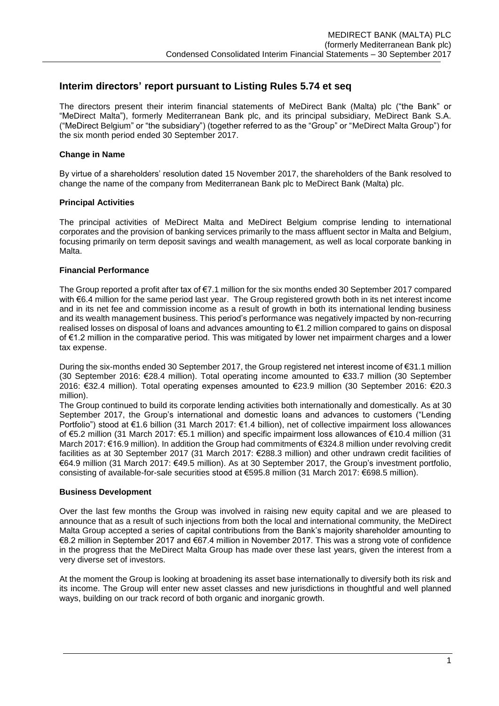The directors present their interim financial statements of MeDirect Bank (Malta) plc ("the Bank" or "MeDirect Malta"), formerly Mediterranean Bank plc, and its principal subsidiary, MeDirect Bank S.A. ("MeDirect Belgium" or "the subsidiary") (together referred to as the "Group" or "MeDirect Malta Group") for the six month period ended 30 September 2017.

# **Change in Name**

By virtue of a shareholders' resolution dated 15 November 2017, the shareholders of the Bank resolved to change the name of the company from Mediterranean Bank plc to MeDirect Bank (Malta) plc.

# **Principal Activities**

The principal activities of MeDirect Malta and MeDirect Belgium comprise lending to international corporates and the provision of banking services primarily to the mass affluent sector in Malta and Belgium, focusing primarily on term deposit savings and wealth management, as well as local corporate banking in Malta.

# **Financial Performance**

The Group reported a profit after tax of €7.1 million for the six months ended 30 September 2017 compared with €6.4 million for the same period last year. The Group registered growth both in its net interest income and in its net fee and commission income as a result of growth in both its international lending business and its wealth management business. This period's performance was negatively impacted by non-recurring realised losses on disposal of loans and advances amounting to €1.2 million compared to gains on disposal of €1.2 million in the comparative period. This was mitigated by lower net impairment charges and a lower tax expense.

During the six-months ended 30 September 2017, the Group registered net interest income of €31.1 million (30 September 2016: €28.4 million). Total operating income amounted to €33.7 million (30 September 2016: €32.4 million). Total operating expenses amounted to €23.9 million (30 September 2016: €20.3 million).

The Group continued to build its corporate lending activities both internationally and domestically. As at 30 September 2017, the Group's international and domestic loans and advances to customers ("Lending Portfolio") stood at €1.6 billion (31 March 2017: €1.4 billion), net of collective impairment loss allowances of €5.2 million (31 March 2017: €5.1 million) and specific impairment loss allowances of €10.4 million (31 March 2017: €16.9 million). In addition the Group had commitments of €324.8 million under revolving credit facilities as at 30 September 2017 (31 March 2017: €288.3 million) and other undrawn credit facilities of €64.9 million (31 March 2017: €49.5 million). As at 30 September 2017, the Group's investment portfolio, consisting of available-for-sale securities stood at €595.8 million (31 March 2017: €698.5 million).

# **Business Development**

Over the last few months the Group was involved in raising new equity capital and we are pleased to announce that as a result of such injections from both the local and international community, the MeDirect Malta Group accepted a series of capital contributions from the Bank's majority shareholder amounting to €8.2 million in September 2017 and €67.4 million in November 2017. This was a strong vote of confidence in the progress that the MeDirect Malta Group has made over these last years, given the interest from a very diverse set of investors.

At the moment the Group is looking at broadening its asset base internationally to diversify both its risk and its income. The Group will enter new asset classes and new jurisdictions in thoughtful and well planned ways, building on our track record of both organic and inorganic growth.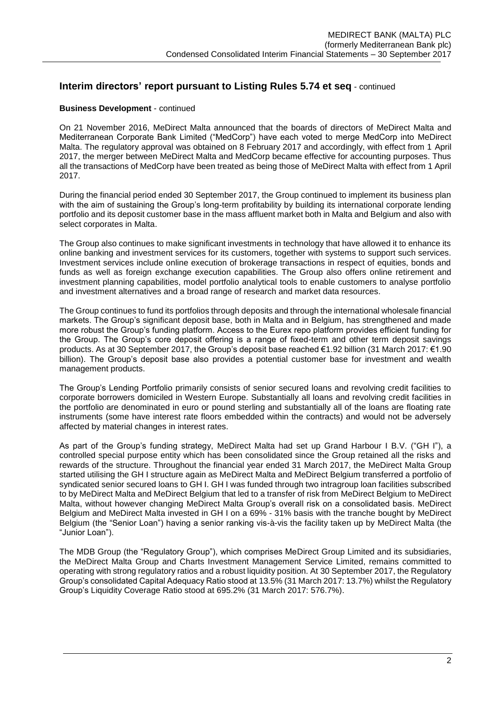# **Business Development** - continued

On 21 November 2016, MeDirect Malta announced that the boards of directors of MeDirect Malta and Mediterranean Corporate Bank Limited ("MedCorp") have each voted to merge MedCorp into MeDirect Malta. The regulatory approval was obtained on 8 February 2017 and accordingly, with effect from 1 April 2017, the merger between MeDirect Malta and MedCorp became effective for accounting purposes. Thus all the transactions of MedCorp have been treated as being those of MeDirect Malta with effect from 1 April 2017.

During the financial period ended 30 September 2017, the Group continued to implement its business plan with the aim of sustaining the Group's long-term profitability by building its international corporate lending portfolio and its deposit customer base in the mass affluent market both in Malta and Belgium and also with select corporates in Malta.

The Group also continues to make significant investments in technology that have allowed it to enhance its online banking and investment services for its customers, together with systems to support such services. Investment services include online execution of brokerage transactions in respect of equities, bonds and funds as well as foreign exchange execution capabilities. The Group also offers online retirement and investment planning capabilities, model portfolio analytical tools to enable customers to analyse portfolio and investment alternatives and a broad range of research and market data resources.

The Group continues to fund its portfolios through deposits and through the international wholesale financial markets. The Group's significant deposit base, both in Malta and in Belgium, has strengthened and made more robust the Group's funding platform. Access to the Eurex repo platform provides efficient funding for the Group. The Group's core deposit offering is a range of fixed-term and other term deposit savings products. As at 30 September 2017, the Group's deposit base reached €1.92 billion (31 March 2017: €1.90 billion). The Group's deposit base also provides a potential customer base for investment and wealth management products.

The Group's Lending Portfolio primarily consists of senior secured loans and revolving credit facilities to corporate borrowers domiciled in Western Europe. Substantially all loans and revolving credit facilities in the portfolio are denominated in euro or pound sterling and substantially all of the loans are floating rate instruments (some have interest rate floors embedded within the contracts) and would not be adversely affected by material changes in interest rates.

As part of the Group's funding strategy, MeDirect Malta had set up Grand Harbour I B.V. ("GH I"), a controlled special purpose entity which has been consolidated since the Group retained all the risks and rewards of the structure. Throughout the financial year ended 31 March 2017, the MeDirect Malta Group started utilising the GH I structure again as MeDirect Malta and MeDirect Belgium transferred a portfolio of syndicated senior secured loans to GH I. GH I was funded through two intragroup loan facilities subscribed to by MeDirect Malta and MeDirect Belgium that led to a transfer of risk from MeDirect Belgium to MeDirect Malta, without however changing MeDirect Malta Group's overall risk on a consolidated basis. MeDirect Belgium and MeDirect Malta invested in GH I on a 69% - 31% basis with the tranche bought by MeDirect Belgium (the "Senior Loan") having a senior ranking vis-à-vis the facility taken up by MeDirect Malta (the "Junior Loan").

The MDB Group (the "Regulatory Group"), which comprises MeDirect Group Limited and its subsidiaries, the MeDirect Malta Group and Charts Investment Management Service Limited, remains committed to operating with strong regulatory ratios and a robust liquidity position. At 30 September 2017, the Regulatory Group's consolidated Capital Adequacy Ratio stood at 13.5% (31 March 2017: 13.7%) whilst the Regulatory Group's Liquidity Coverage Ratio stood at 695.2% (31 March 2017: 576.7%).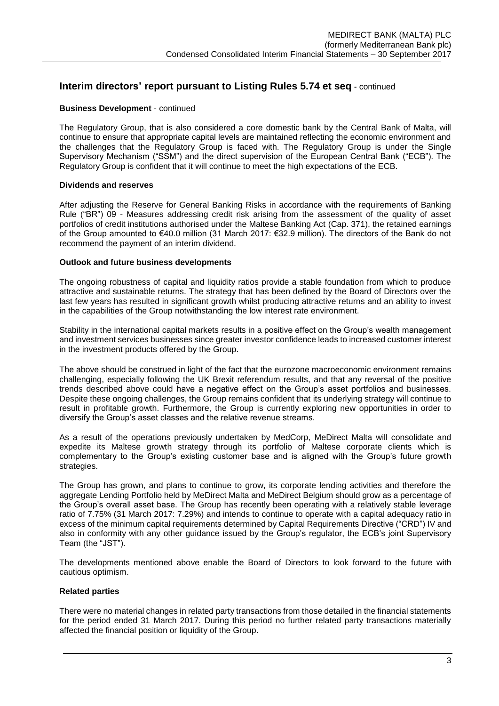# **Business Development** - continued

The Regulatory Group, that is also considered a core domestic bank by the Central Bank of Malta, will continue to ensure that appropriate capital levels are maintained reflecting the economic environment and the challenges that the Regulatory Group is faced with. The Regulatory Group is under the Single Supervisory Mechanism ("SSM") and the direct supervision of the European Central Bank ("ECB"). The Regulatory Group is confident that it will continue to meet the high expectations of the ECB.

### **Dividends and reserves**

After adjusting the Reserve for General Banking Risks in accordance with the requirements of Banking Rule ("BR") 09 - Measures addressing credit risk arising from the assessment of the quality of asset portfolios of credit institutions authorised under the Maltese Banking Act (Cap. 371), the retained earnings of the Group amounted to €40.0 million (31 March 2017: €32.9 million). The directors of the Bank do not recommend the payment of an interim dividend.

### **Outlook and future business developments**

The ongoing robustness of capital and liquidity ratios provide a stable foundation from which to produce attractive and sustainable returns. The strategy that has been defined by the Board of Directors over the last few years has resulted in significant growth whilst producing attractive returns and an ability to invest in the capabilities of the Group notwithstanding the low interest rate environment.

Stability in the international capital markets results in a positive effect on the Group's wealth management and investment services businesses since greater investor confidence leads to increased customer interest in the investment products offered by the Group.

The above should be construed in light of the fact that the eurozone macroeconomic environment remains challenging, especially following the UK Brexit referendum results, and that any reversal of the positive trends described above could have a negative effect on the Group's asset portfolios and businesses. Despite these ongoing challenges, the Group remains confident that its underlying strategy will continue to result in profitable growth. Furthermore, the Group is currently exploring new opportunities in order to diversify the Group's asset classes and the relative revenue streams.

As a result of the operations previously undertaken by MedCorp, MeDirect Malta will consolidate and expedite its Maltese growth strategy through its portfolio of Maltese corporate clients which is complementary to the Group's existing customer base and is aligned with the Group's future growth strategies.

The Group has grown, and plans to continue to grow, its corporate lending activities and therefore the aggregate Lending Portfolio held by MeDirect Malta and MeDirect Belgium should grow as a percentage of the Group's overall asset base. The Group has recently been operating with a relatively stable leverage ratio of 7.75% (31 March 2017: 7.29%) and intends to continue to operate with a capital adequacy ratio in excess of the minimum capital requirements determined by Capital Requirements Directive ("CRD") IV and also in conformity with any other guidance issued by the Group's regulator, the ECB's joint Supervisory Team (the "JST").

The developments mentioned above enable the Board of Directors to look forward to the future with cautious optimism.

# **Related parties**

There were no material changes in related party transactions from those detailed in the financial statements for the period ended 31 March 2017. During this period no further related party transactions materially affected the financial position or liquidity of the Group.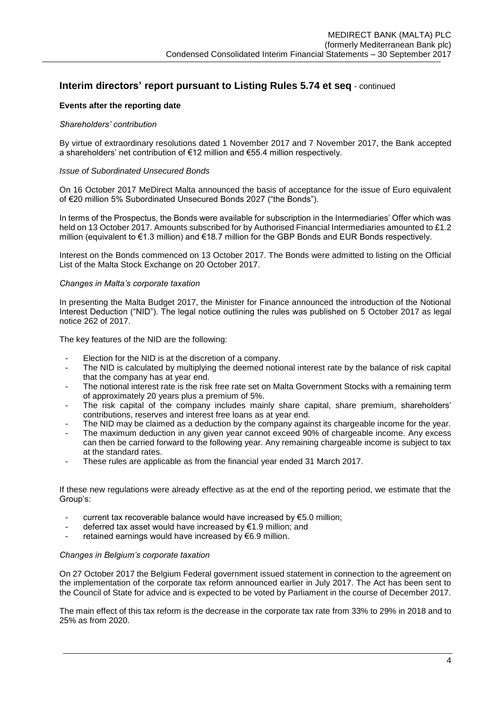# **Events after the reporting date**

#### *Shareholders' contribution*

By virtue of extraordinary resolutions dated 1 November 2017 and 7 November 2017, the Bank accepted a shareholders' net contribution of €12 million and €55.4 million respectively.

#### *Issue of Subordinated Unsecured Bonds*

On 16 October 2017 MeDirect Malta announced the basis of acceptance for the issue of Euro equivalent of €20 million 5% Subordinated Unsecured Bonds 2027 ("the Bonds").

In terms of the Prospectus, the Bonds were available for subscription in the Intermediaries' Offer which was held on 13 October 2017. Amounts subscribed for by Authorised Financial Intermediaries amounted to £1.2 million (equivalent to €1.3 million) and €18.7 million for the GBP Bonds and EUR Bonds respectively.

Interest on the Bonds commenced on 13 October 2017. The Bonds were admitted to listing on the Official List of the Malta Stock Exchange on 20 October 2017.

#### *Changes in Malta's corporate taxation*

In presenting the Malta Budget 2017, the Minister for Finance announced the introduction of the Notional Interest Deduction ("NID"). The legal notice outlining the rules was published on 5 October 2017 as legal notice 262 of 2017.

The key features of the NID are the following:

- Election for the NID is at the discretion of a company.
- The NID is calculated by multiplying the deemed notional interest rate by the balance of risk capital that the company has at year end.
- The notional interest rate is the risk free rate set on Malta Government Stocks with a remaining term of approximately 20 years plus a premium of 5%.
- The risk capital of the company includes mainly share capital, share premium, shareholders' contributions, reserves and interest free loans as at year end.
- The NID may be claimed as a deduction by the company against its chargeable income for the year.
- The maximum deduction in any given year cannot exceed 90% of chargeable income. Any excess can then be carried forward to the following year. Any remaining chargeable income is subject to tax at the standard rates.
- These rules are applicable as from the financial year ended 31 March 2017.

If these new regulations were already effective as at the end of the reporting period, we estimate that the Group's:

- current tax recoverable balance would have increased by  $E$ 5.0 million;
- deferred tax asset would have increased by  $€1.9$  million; and
- retained earnings would have increased by  $€6.9$  million.

#### *Changes in Belgium's corporate taxation*

On 27 October 2017 the Belgium Federal government issued statement in connection to the agreement on the implementation of the corporate tax reform announced earlier in July 2017. The Act has been sent to the Council of State for advice and is expected to be voted by Parliament in the course of December 2017.

The main effect of this tax reform is the decrease in the corporate tax rate from 33% to 29% in 2018 and to 25% as from 2020.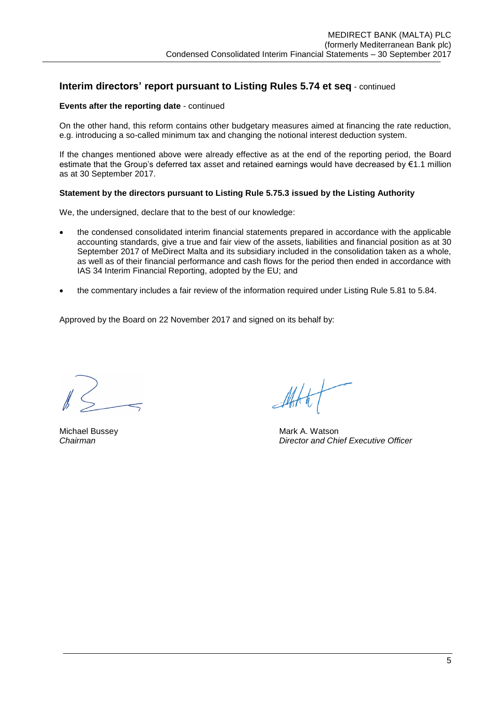### **Events after the reporting date** - continued

On the other hand, this reform contains other budgetary measures aimed at financing the rate reduction, e.g. introducing a so-called minimum tax and changing the notional interest deduction system.

If the changes mentioned above were already effective as at the end of the reporting period, the Board estimate that the Group's deferred tax asset and retained earnings would have decreased by €1.1 million as at 30 September 2017.

# **Statement by the directors pursuant to Listing Rule 5.75.3 issued by the Listing Authority**

We, the undersigned, declare that to the best of our knowledge:

- the condensed consolidated interim financial statements prepared in accordance with the applicable accounting standards, give a true and fair view of the assets, liabilities and financial position as at 30 September 2017 of MeDirect Malta and its subsidiary included in the consolidation taken as a whole, as well as of their financial performance and cash flows for the period then ended in accordance with IAS 34 Interim Financial Reporting, adopted by the EU; and
- the commentary includes a fair review of the information required under Listing Rule 5.81 to 5.84.

Approved by the Board on 22 November 2017 and signed on its behalf by:

Michael Bussey **Michael Bussey** Mark A. Watson *Chairman Director and Chief Executive Officer*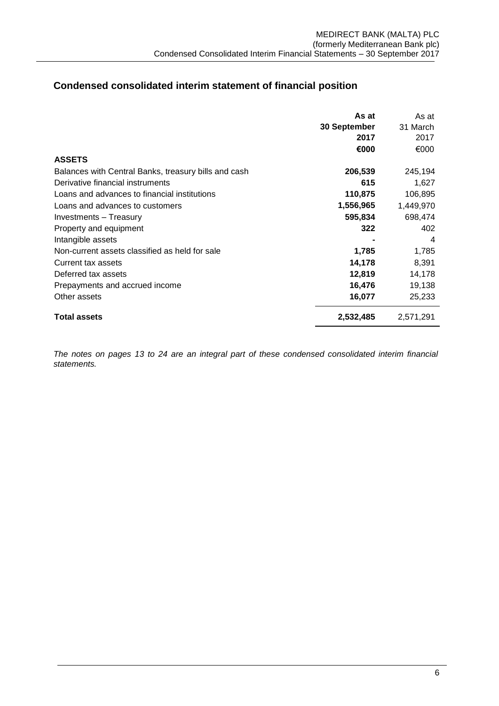# **Condensed consolidated interim statement of financial position**

|                                                      | As at        | As at     |
|------------------------------------------------------|--------------|-----------|
|                                                      | 30 September | 31 March  |
|                                                      | 2017         | 2017      |
|                                                      | €000         | €000      |
| <b>ASSETS</b>                                        |              |           |
| Balances with Central Banks, treasury bills and cash | 206,539      | 245,194   |
| Derivative financial instruments                     | 615          | 1,627     |
| Loans and advances to financial institutions         | 110,875      | 106,895   |
| Loans and advances to customers                      | 1,556,965    | 1,449,970 |
| Investments - Treasury                               | 595,834      | 698,474   |
| Property and equipment                               | 322          | 402       |
| Intangible assets                                    |              | 4         |
| Non-current assets classified as held for sale       | 1,785        | 1,785     |
| Current tax assets                                   | 14,178       | 8,391     |
| Deferred tax assets                                  | 12,819       | 14,178    |
| Prepayments and accrued income                       | 16,476       | 19,138    |
| Other assets                                         | 16,077       | 25,233    |
| <b>Total assets</b>                                  | 2,532,485    | 2,571,291 |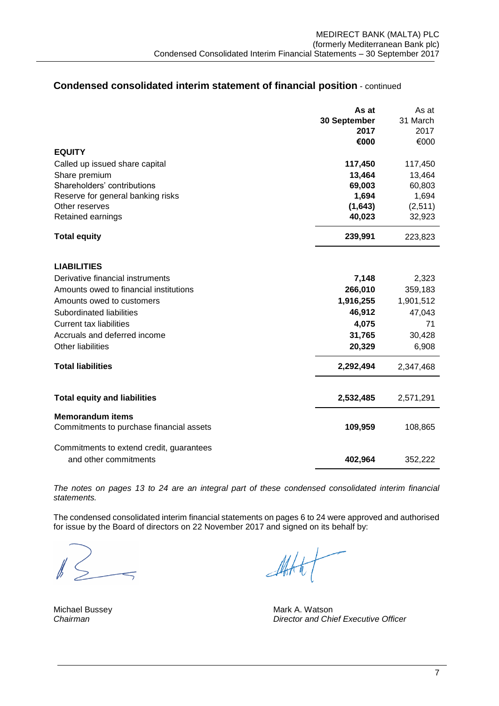# **Condensed consolidated interim statement of financial position** - continued

|                                          | As at        | As at     |
|------------------------------------------|--------------|-----------|
|                                          | 30 September | 31 March  |
|                                          | 2017         | 2017      |
|                                          | €000         | €000      |
| <b>EQUITY</b>                            |              |           |
| Called up issued share capital           | 117,450      | 117,450   |
| Share premium                            | 13,464       | 13,464    |
| Shareholders' contributions              | 69,003       | 60,803    |
| Reserve for general banking risks        | 1,694        | 1,694     |
| Other reserves                           | (1,643)      | (2,511)   |
| Retained earnings                        | 40,023       | 32,923    |
| <b>Total equity</b>                      | 239,991      | 223,823   |
| <b>LIABILITIES</b>                       |              |           |
| Derivative financial instruments         | 7,148        | 2,323     |
| Amounts owed to financial institutions   | 266,010      | 359,183   |
| Amounts owed to customers                | 1,916,255    | 1,901,512 |
| Subordinated liabilities                 | 46,912       | 47,043    |
| <b>Current tax liabilities</b>           | 4,075        | 71        |
|                                          |              |           |
| Accruals and deferred income             | 31,765       | 30,428    |
| Other liabilities                        | 20,329       | 6,908     |
| <b>Total liabilities</b>                 | 2,292,494    | 2,347,468 |
|                                          |              |           |
| <b>Total equity and liabilities</b>      | 2,532,485    | 2,571,291 |
| <b>Memorandum items</b>                  |              |           |
| Commitments to purchase financial assets | 109,959      | 108,865   |
| Commitments to extend credit, guarantees |              |           |
| and other commitments                    | 402,964      | 352,222   |

*The notes on pages 13 to 24 are an integral part of these condensed consolidated interim financial statements.*

The condensed consolidated interim financial statements on pages 6 to 24 were approved and authorised for issue by the Board of directors on 22 November 2017 and signed on its behalf by:

Michael Bussey **Michael Bussey State A. Watson**<br>Chairman Chinage Chairman *Chairman Director and Chief Executive Officer*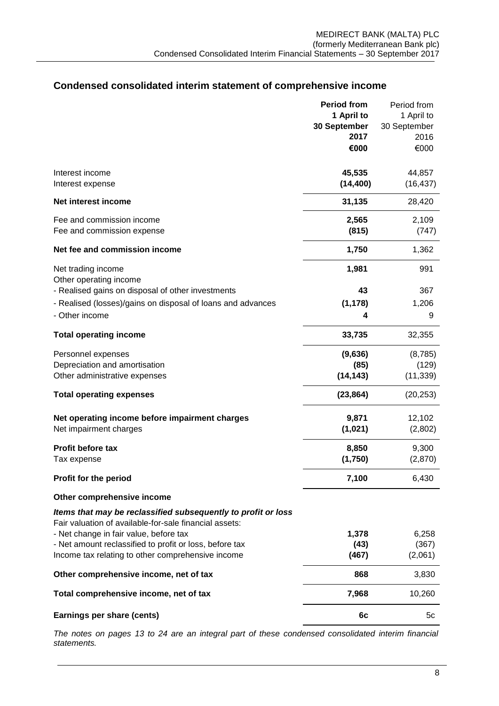# **Condensed consolidated interim statement of comprehensive income**

|                                                                                                                         | <b>Period from</b><br>1 April to | Period from<br>1 April to    |
|-------------------------------------------------------------------------------------------------------------------------|----------------------------------|------------------------------|
|                                                                                                                         | 30 September<br>2017<br>€000     | 30 September<br>2016<br>€000 |
| Interest income<br>Interest expense                                                                                     | 45,535<br>(14, 400)              | 44,857<br>(16, 437)          |
| Net interest income                                                                                                     | 31,135                           | 28,420                       |
| Fee and commission income<br>Fee and commission expense                                                                 | 2,565<br>(815)                   | 2,109<br>(747)               |
| Net fee and commission income                                                                                           | 1,750                            | 1,362                        |
| Net trading income<br>Other operating income                                                                            | 1,981                            | 991                          |
| - Realised gains on disposal of other investments                                                                       | 43                               | 367                          |
| - Realised (losses)/gains on disposal of loans and advances                                                             | (1, 178)                         | 1,206                        |
| - Other income                                                                                                          | 4                                | 9                            |
| <b>Total operating income</b>                                                                                           | 33,735                           | 32,355                       |
| Personnel expenses                                                                                                      | (9,636)                          | (8,785)                      |
| Depreciation and amortisation                                                                                           | (85)                             | (129)                        |
| Other administrative expenses                                                                                           | (14, 143)                        | (11, 339)                    |
| <b>Total operating expenses</b>                                                                                         | (23, 864)                        | (20, 253)                    |
| Net operating income before impairment charges                                                                          | 9,871                            | 12,102                       |
| Net impairment charges                                                                                                  | (1,021)                          | (2,802)                      |
| <b>Profit before tax</b>                                                                                                | 8,850                            | 9,300                        |
| Tax expense                                                                                                             | (1,750)                          | (2,870)                      |
| Profit for the period                                                                                                   | 7,100                            | 6,430                        |
| Other comprehensive income                                                                                              |                                  |                              |
| Items that may be reclassified subsequently to profit or loss<br>Fair valuation of available-for-sale financial assets: |                                  |                              |
| - Net change in fair value, before tax                                                                                  | 1,378                            | 6,258                        |
| - Net amount reclassified to profit or loss, before tax<br>Income tax relating to other comprehensive income            | (43)<br>(467)                    | (367)<br>(2,061)             |
|                                                                                                                         |                                  |                              |
| Other comprehensive income, net of tax                                                                                  | 868                              | 3,830                        |
| Total comprehensive income, net of tax                                                                                  | 7,968                            | 10,260                       |
| Earnings per share (cents)                                                                                              | 6c                               | 5c                           |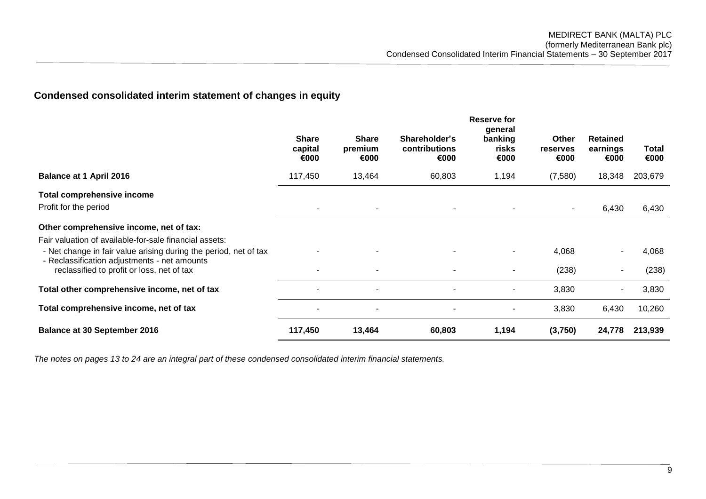# **Condensed consolidated interim statement of changes in equity**

|                                                                                            |                                 |                                 |                                        | <b>Reserve for</b><br>general |                           |                                     |               |
|--------------------------------------------------------------------------------------------|---------------------------------|---------------------------------|----------------------------------------|-------------------------------|---------------------------|-------------------------------------|---------------|
|                                                                                            | <b>Share</b><br>capital<br>€000 | <b>Share</b><br>premium<br>€000 | Shareholder's<br>contributions<br>€000 | banking<br>risks<br>€000      | Other<br>reserves<br>€000 | <b>Retained</b><br>earnings<br>€000 | Total<br>€000 |
| <b>Balance at 1 April 2016</b>                                                             | 117,450                         | 13,464                          | 60,803                                 | 1,194                         | (7,580)                   | 18,348                              | 203,679       |
| <b>Total comprehensive income</b>                                                          |                                 |                                 |                                        |                               |                           |                                     |               |
| Profit for the period                                                                      | $\overline{\phantom{a}}$        | $\sim$                          | $\sim$                                 | $\blacksquare$                | $\sim$                    | 6,430                               | 6,430         |
| Other comprehensive income, net of tax:                                                    |                                 |                                 |                                        |                               |                           |                                     |               |
| Fair valuation of available-for-sale financial assets:                                     |                                 |                                 |                                        |                               |                           |                                     |               |
| - Net change in fair value arising during the period, net of tax                           |                                 |                                 |                                        | $\overline{\phantom{a}}$      | 4,068                     |                                     | 4,068         |
| - Reclassification adjustments - net amounts<br>reclassified to profit or loss, net of tax |                                 |                                 | $\blacksquare$                         | $\overline{\phantom{a}}$      | (238)                     |                                     | (238)         |
| Total other comprehensive income, net of tax                                               | $\blacksquare$                  | $\overline{\phantom{a}}$        | $\overline{\phantom{a}}$               | $\overline{\phantom{a}}$      | 3,830                     | $\overline{\phantom{a}}$            | 3,830         |
| Total comprehensive income, net of tax                                                     | $\blacksquare$                  | $\sim$                          | $\blacksquare$                         | $\blacksquare$                | 3,830                     | 6,430                               | 10,260        |
| <b>Balance at 30 September 2016</b>                                                        | 117,450                         | 13,464                          | 60,803                                 | 1,194                         | (3,750)                   | 24,778                              | 213,939       |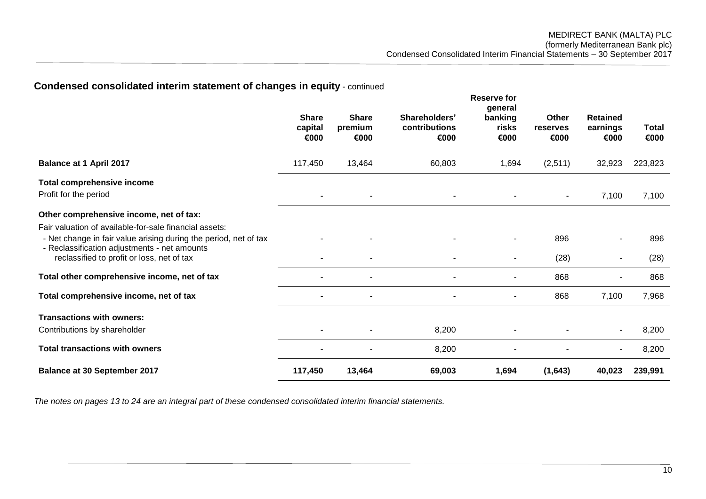|                                                                                                                            |                                 |                                 |                                        | <b>Reserve for</b><br>general |                           |                                     |                      |
|----------------------------------------------------------------------------------------------------------------------------|---------------------------------|---------------------------------|----------------------------------------|-------------------------------|---------------------------|-------------------------------------|----------------------|
|                                                                                                                            | <b>Share</b><br>capital<br>€000 | <b>Share</b><br>premium<br>€000 | Shareholders'<br>contributions<br>€000 | banking<br>risks<br>€000      | Other<br>reserves<br>€000 | <b>Retained</b><br>earnings<br>€000 | <b>Total</b><br>€000 |
| <b>Balance at 1 April 2017</b>                                                                                             | 117,450                         | 13,464                          | 60,803                                 | 1,694                         | (2,511)                   | 32,923                              | 223,823              |
| <b>Total comprehensive income</b>                                                                                          |                                 |                                 |                                        |                               |                           |                                     |                      |
| Profit for the period                                                                                                      | $\sim$                          | $\blacksquare$                  | $\blacksquare$                         |                               | ٠                         | 7,100                               | 7,100                |
| Other comprehensive income, net of tax:                                                                                    |                                 |                                 |                                        |                               |                           |                                     |                      |
| Fair valuation of available-for-sale financial assets:<br>- Net change in fair value arising during the period, net of tax |                                 |                                 |                                        |                               | 896                       |                                     | 896                  |
| - Reclassification adjustments - net amounts<br>reclassified to profit or loss, net of tax                                 |                                 |                                 |                                        |                               | (28)                      | $\sim$                              | (28)                 |
| Total other comprehensive income, net of tax                                                                               |                                 |                                 |                                        |                               | 868                       |                                     | 868                  |
| Total comprehensive income, net of tax                                                                                     | ٠                               |                                 |                                        |                               | 868                       | 7,100                               | 7,968                |
| <b>Transactions with owners:</b>                                                                                           |                                 |                                 |                                        |                               |                           |                                     |                      |
| Contributions by shareholder                                                                                               | ٠                               |                                 | 8,200                                  |                               |                           |                                     | 8,200                |
| <b>Total transactions with owners</b>                                                                                      |                                 |                                 | 8,200                                  |                               |                           |                                     | 8,200                |
| <b>Balance at 30 September 2017</b>                                                                                        | 117,450                         | 13,464                          | 69,003                                 | 1,694                         | (1,643)                   | 40,023                              | 239,991              |

# **Condensed consolidated interim statement of changes in equity** - continued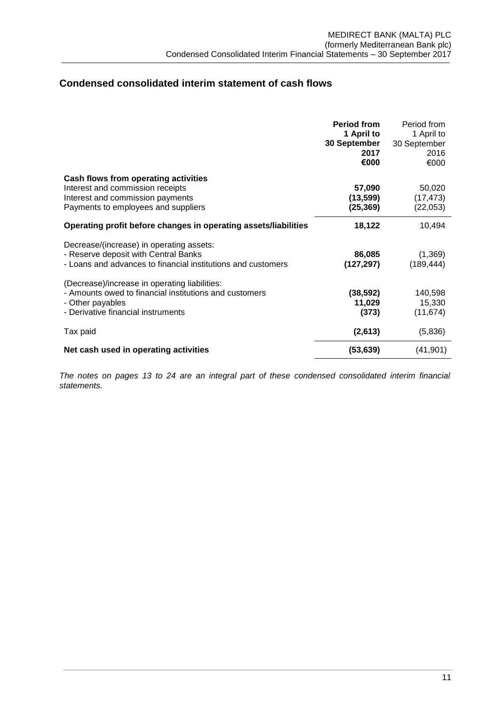# **Condensed consolidated interim statement of cash flows**

|                                                                      | <b>Period from</b><br>1 April to<br>30 September<br>2017<br>€000 | Period from<br>1 April to<br>30 September<br>2016<br>€000 |
|----------------------------------------------------------------------|------------------------------------------------------------------|-----------------------------------------------------------|
| Cash flows from operating activities                                 |                                                                  |                                                           |
| Interest and commission receipts<br>Interest and commission payments | 57,090<br>(13, 599)                                              | 50,020<br>(17, 473)                                       |
| Payments to employees and suppliers                                  | (25, 369)                                                        | (22, 053)                                                 |
| Operating profit before changes in operating assets/liabilities      | 18,122                                                           | 10,494                                                    |
| Decrease/(increase) in operating assets:                             |                                                                  |                                                           |
| - Reserve deposit with Central Banks                                 | 86,085                                                           | (1,369)                                                   |
| - Loans and advances to financial institutions and customers         | (127, 297)                                                       | (189, 444)                                                |
| (Decrease)/increase in operating liabilities:                        |                                                                  |                                                           |
| - Amounts owed to financial institutions and customers               | (38, 592)                                                        | 140,598                                                   |
| - Other payables                                                     | 11,029                                                           | 15,330                                                    |
| - Derivative financial instruments                                   | (373)                                                            | (11, 674)                                                 |
| Tax paid                                                             | (2,613)                                                          | (5,836)                                                   |
| Net cash used in operating activities                                | (53, 639)                                                        | (41, 901)                                                 |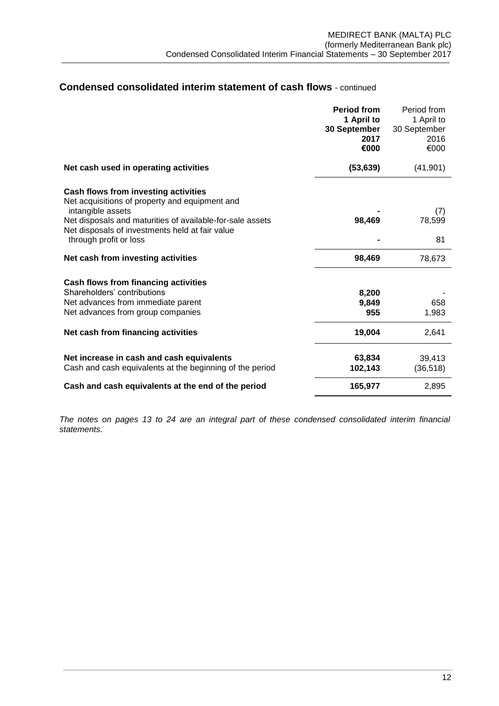# **Condensed consolidated interim statement of cash flows** - continued

|                                                                                        | <b>Period from</b><br>1 April to<br>30 September<br>2017<br>€000 | Period from<br>1 April to<br>30 September<br>2016<br>€000 |
|----------------------------------------------------------------------------------------|------------------------------------------------------------------|-----------------------------------------------------------|
| Net cash used in operating activities                                                  | (53, 639)                                                        | (41, 901)                                                 |
| Cash flows from investing activities<br>Net acquisitions of property and equipment and |                                                                  |                                                           |
| intangible assets<br>Net disposals and maturities of available-for-sale assets         | 98,469                                                           | (7)<br>78,599                                             |
| Net disposals of investments held at fair value<br>through profit or loss              |                                                                  | 81                                                        |
| Net cash from investing activities                                                     | 98,469                                                           | 78,673                                                    |
| <b>Cash flows from financing activities</b>                                            |                                                                  |                                                           |
| Shareholders' contributions                                                            | 8,200                                                            |                                                           |
| Net advances from immediate parent                                                     | 9,849                                                            | 658                                                       |
| Net advances from group companies                                                      | 955                                                              | 1,983                                                     |
| Net cash from financing activities                                                     | 19,004                                                           | 2,641                                                     |
| Net increase in cash and cash equivalents                                              | 63,834                                                           | 39,413                                                    |
| Cash and cash equivalents at the beginning of the period                               | 102,143                                                          | (36, 518)                                                 |
| Cash and cash equivalents at the end of the period                                     | 165,977                                                          | 2,895                                                     |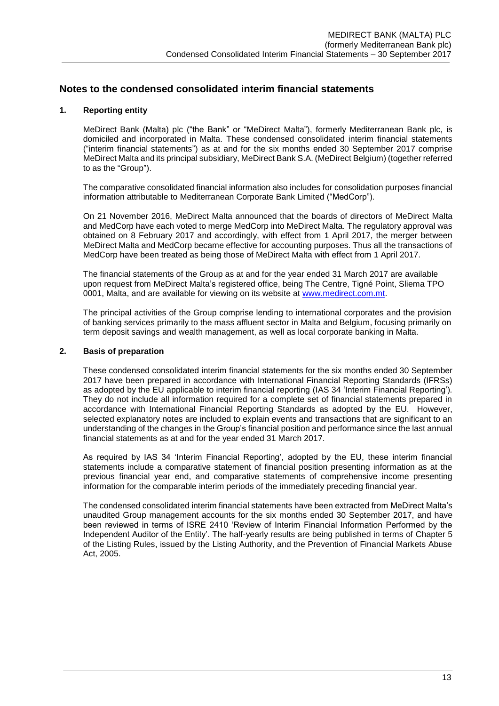# **Notes to the condensed consolidated interim financial statements**

# **1. Reporting entity**

MeDirect Bank (Malta) plc ("the Bank" or "MeDirect Malta"), formerly Mediterranean Bank plc, is domiciled and incorporated in Malta. These condensed consolidated interim financial statements ("interim financial statements") as at and for the six months ended 30 September 2017 comprise MeDirect Malta and its principal subsidiary, MeDirect Bank S.A. (MeDirect Belgium) (together referred to as the "Group").

The comparative consolidated financial information also includes for consolidation purposes financial information attributable to Mediterranean Corporate Bank Limited ("MedCorp").

On 21 November 2016, MeDirect Malta announced that the boards of directors of MeDirect Malta and MedCorp have each voted to merge MedCorp into MeDirect Malta. The regulatory approval was obtained on 8 February 2017 and accordingly, with effect from 1 April 2017, the merger between MeDirect Malta and MedCorp became effective for accounting purposes. Thus all the transactions of MedCorp have been treated as being those of MeDirect Malta with effect from 1 April 2017.

The financial statements of the Group as at and for the year ended 31 March 2017 are available upon request from MeDirect Malta's registered office, being The Centre, Tigné Point, Sliema TPO 0001, Malta, and are available for viewing on its website at [www.medirect.com.mt.](http://www.medirect.com.mt/)

The principal activities of the Group comprise lending to international corporates and the provision of banking services primarily to the mass affluent sector in Malta and Belgium, focusing primarily on term deposit savings and wealth management, as well as local corporate banking in Malta.

# **2. Basis of preparation**

These condensed consolidated interim financial statements for the six months ended 30 September 2017 have been prepared in accordance with International Financial Reporting Standards (IFRSs) as adopted by the EU applicable to interim financial reporting (IAS 34 'Interim Financial Reporting')*.*  They do not include all information required for a complete set of financial statements prepared in accordance with International Financial Reporting Standards as adopted by the EU. However, selected explanatory notes are included to explain events and transactions that are significant to an understanding of the changes in the Group's financial position and performance since the last annual financial statements as at and for the year ended 31 March 2017.

As required by IAS 34 'Interim Financial Reporting', adopted by the EU, these interim financial statements include a comparative statement of financial position presenting information as at the previous financial year end, and comparative statements of comprehensive income presenting information for the comparable interim periods of the immediately preceding financial year.

The condensed consolidated interim financial statements have been extracted from MeDirect Malta's unaudited Group management accounts for the six months ended 30 September 2017, and have been reviewed in terms of ISRE 2410 'Review of Interim Financial Information Performed by the Independent Auditor of the Entity'. The half-yearly results are being published in terms of Chapter 5 of the Listing Rules, issued by the Listing Authority, and the Prevention of Financial Markets Abuse Act, 2005.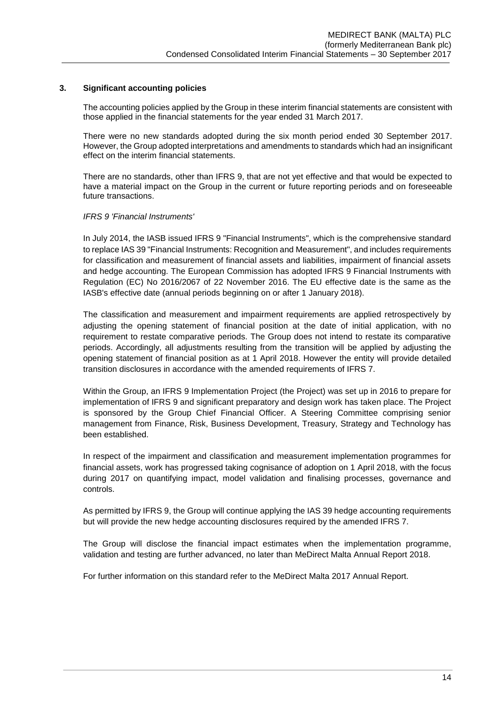# **3. Significant accounting policies**

The accounting policies applied by the Group in these interim financial statements are consistent with those applied in the financial statements for the year ended 31 March 2017.

There were no new standards adopted during the six month period ended 30 September 2017. However, the Group adopted interpretations and amendments to standards which had an insignificant effect on the interim financial statements.

There are no standards, other than IFRS 9, that are not yet effective and that would be expected to have a material impact on the Group in the current or future reporting periods and on foreseeable future transactions.

# *IFRS 9 'Financial Instruments'*

In July 2014, the IASB issued IFRS 9 "Financial Instruments", which is the comprehensive standard to replace IAS 39 "Financial Instruments: Recognition and Measurement", and includes requirements for classification and measurement of financial assets and liabilities, impairment of financial assets and hedge accounting. The European Commission has adopted IFRS 9 Financial Instruments with Regulation (EC) No 2016/2067 of 22 November 2016. The EU effective date is the same as the IASB's effective date (annual periods beginning on or after 1 January 2018).

The classification and measurement and impairment requirements are applied retrospectively by adjusting the opening statement of financial position at the date of initial application, with no requirement to restate comparative periods. The Group does not intend to restate its comparative periods. Accordingly, all adjustments resulting from the transition will be applied by adjusting the opening statement of financial position as at 1 April 2018. However the entity will provide detailed transition disclosures in accordance with the amended requirements of IFRS 7.

Within the Group, an IFRS 9 Implementation Project (the Project) was set up in 2016 to prepare for implementation of IFRS 9 and significant preparatory and design work has taken place. The Project is sponsored by the Group Chief Financial Officer. A Steering Committee comprising senior management from Finance, Risk, Business Development, Treasury, Strategy and Technology has been established.

In respect of the impairment and classification and measurement implementation programmes for financial assets, work has progressed taking cognisance of adoption on 1 April 2018, with the focus during 2017 on quantifying impact, model validation and finalising processes, governance and controls.

As permitted by IFRS 9, the Group will continue applying the IAS 39 hedge accounting requirements but will provide the new hedge accounting disclosures required by the amended IFRS 7.

The Group will disclose the financial impact estimates when the implementation programme, validation and testing are further advanced, no later than MeDirect Malta Annual Report 2018.

For further information on this standard refer to the MeDirect Malta 2017 Annual Report.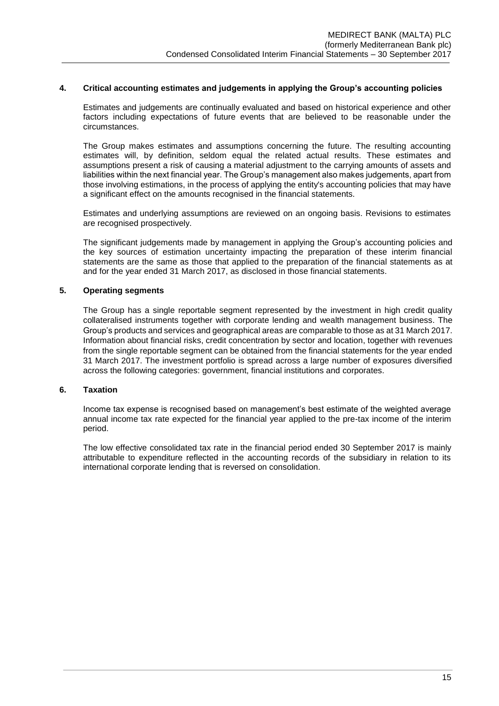# **4. Critical accounting estimates and judgements in applying the Group's accounting policies**

Estimates and judgements are continually evaluated and based on historical experience and other factors including expectations of future events that are believed to be reasonable under the circumstances.

The Group makes estimates and assumptions concerning the future. The resulting accounting estimates will, by definition, seldom equal the related actual results. These estimates and assumptions present a risk of causing a material adjustment to the carrying amounts of assets and liabilities within the next financial year. The Group's management also makes judgements, apart from those involving estimations, in the process of applying the entity's accounting policies that may have a significant effect on the amounts recognised in the financial statements.

Estimates and underlying assumptions are reviewed on an ongoing basis. Revisions to estimates are recognised prospectively.

The significant judgements made by management in applying the Group's accounting policies and the key sources of estimation uncertainty impacting the preparation of these interim financial statements are the same as those that applied to the preparation of the financial statements as at and for the year ended 31 March 2017, as disclosed in those financial statements.

# **5. Operating segments**

The Group has a single reportable segment represented by the investment in high credit quality collateralised instruments together with corporate lending and wealth management business. The Group's products and services and geographical areas are comparable to those as at 31 March 2017. Information about financial risks, credit concentration by sector and location, together with revenues from the single reportable segment can be obtained from the financial statements for the year ended 31 March 2017. The investment portfolio is spread across a large number of exposures diversified across the following categories: government, financial institutions and corporates.

### **6. Taxation**

Income tax expense is recognised based on management's best estimate of the weighted average annual income tax rate expected for the financial year applied to the pre-tax income of the interim period.

The low effective consolidated tax rate in the financial period ended 30 September 2017 is mainly attributable to expenditure reflected in the accounting records of the subsidiary in relation to its international corporate lending that is reversed on consolidation.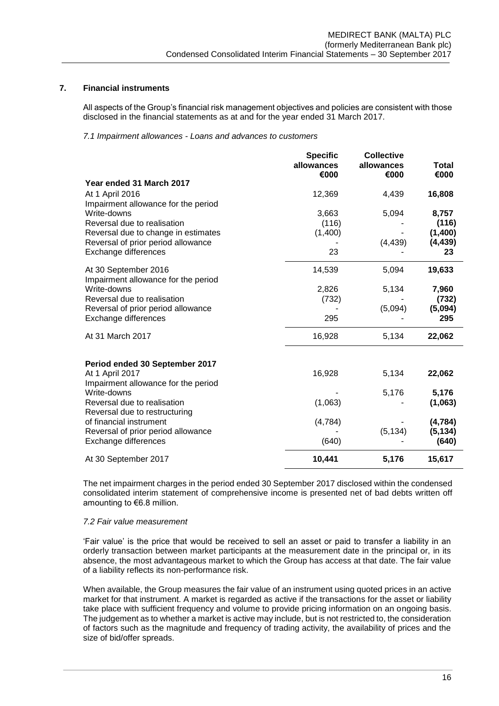# **7. Financial instruments**

All aspects of the Group's financial risk management objectives and policies are consistent with those disclosed in the financial statements as at and for the year ended 31 March 2017.

*7.1 Impairment allowances - Loans and advances to customers*

|                                     | <b>Specific</b><br>allowances<br>€000 | <b>Collective</b><br>allowances<br>€000 | <b>Total</b><br>€000 |
|-------------------------------------|---------------------------------------|-----------------------------------------|----------------------|
| Year ended 31 March 2017            |                                       |                                         |                      |
| At 1 April 2016                     | 12,369                                | 4,439                                   | 16,808               |
| Impairment allowance for the period |                                       |                                         |                      |
| Write-downs                         | 3,663                                 | 5,094                                   | 8,757                |
| Reversal due to realisation         | (116)                                 |                                         | (116)                |
| Reversal due to change in estimates | (1,400)                               |                                         | (1,400)              |
| Reversal of prior period allowance  |                                       | (4, 439)                                | (4, 439)             |
| Exchange differences                | 23                                    |                                         | 23                   |
| At 30 September 2016                | 14,539                                | 5,094                                   | 19,633               |
| Impairment allowance for the period |                                       |                                         |                      |
| Write-downs                         | 2,826                                 | 5,134                                   | 7,960                |
| Reversal due to realisation         | (732)                                 |                                         | (732)                |
| Reversal of prior period allowance  |                                       | (5,094)                                 | (5,094)              |
| Exchange differences                | 295                                   |                                         | 295                  |
| At 31 March 2017                    | 16,928                                | 5,134                                   | 22,062               |
| Period ended 30 September 2017      |                                       |                                         |                      |
| At 1 April 2017                     | 16,928                                | 5,134                                   | 22,062               |
| Impairment allowance for the period |                                       |                                         |                      |
| Write-downs                         |                                       | 5,176                                   | 5,176                |
| Reversal due to realisation         | (1,063)                               |                                         | (1,063)              |
| Reversal due to restructuring       |                                       |                                         |                      |
| of financial instrument             | (4,784)                               |                                         | (4, 784)             |
| Reversal of prior period allowance  |                                       | (5, 134)                                | (5, 134)             |
| Exchange differences                | (640)                                 |                                         | (640)                |
| At 30 September 2017                | 10,441                                | 5,176                                   | 15,617               |

The net impairment charges in the period ended 30 September 2017 disclosed within the condensed consolidated interim statement of comprehensive income is presented net of bad debts written off amounting to €6.8 million.

# *7.2 Fair value measurement*

'Fair value' is the price that would be received to sell an asset or paid to transfer a liability in an orderly transaction between market participants at the measurement date in the principal or, in its absence, the most advantageous market to which the Group has access at that date. The fair value of a liability reflects its non-performance risk.

When available, the Group measures the fair value of an instrument using quoted prices in an active market for that instrument. A market is regarded as active if the transactions for the asset or liability take place with sufficient frequency and volume to provide pricing information on an ongoing basis. The judgement as to whether a market is active may include, but is not restricted to, the consideration of factors such as the magnitude and frequency of trading activity, the availability of prices and the size of bid/offer spreads.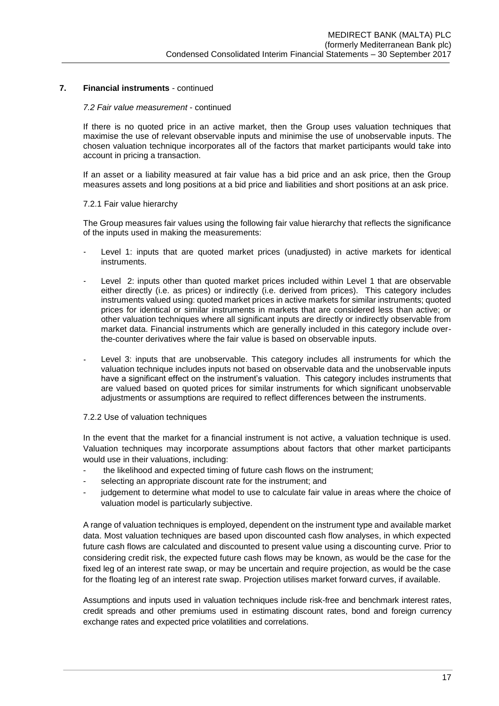### *7.2 Fair value measurement* - continued

If there is no quoted price in an active market, then the Group uses valuation techniques that maximise the use of relevant observable inputs and minimise the use of unobservable inputs. The chosen valuation technique incorporates all of the factors that market participants would take into account in pricing a transaction.

If an asset or a liability measured at fair value has a bid price and an ask price, then the Group measures assets and long positions at a bid price and liabilities and short positions at an ask price.

#### 7.2.1 Fair value hierarchy

The Group measures fair values using the following fair value hierarchy that reflects the significance of the inputs used in making the measurements:

- Level 1: inputs that are quoted market prices (unadjusted) in active markets for identical instruments.
- Level 2: inputs other than quoted market prices included within Level 1 that are observable either directly (i.e. as prices) or indirectly (i.e. derived from prices). This category includes instruments valued using: quoted market prices in active markets for similar instruments; quoted prices for identical or similar instruments in markets that are considered less than active; or other valuation techniques where all significant inputs are directly or indirectly observable from market data. Financial instruments which are generally included in this category include overthe-counter derivatives where the fair value is based on observable inputs.
- Level 3: inputs that are unobservable. This category includes all instruments for which the valuation technique includes inputs not based on observable data and the unobservable inputs have a significant effect on the instrument's valuation. This category includes instruments that are valued based on quoted prices for similar instruments for which significant unobservable adjustments or assumptions are required to reflect differences between the instruments.

#### 7.2.2 Use of valuation techniques

In the event that the market for a financial instrument is not active, a valuation technique is used. Valuation techniques may incorporate assumptions about factors that other market participants would use in their valuations, including:

- the likelihood and expected timing of future cash flows on the instrument;
- selecting an appropriate discount rate for the instrument; and
- judgement to determine what model to use to calculate fair value in areas where the choice of valuation model is particularly subjective.

A range of valuation techniques is employed, dependent on the instrument type and available market data. Most valuation techniques are based upon discounted cash flow analyses, in which expected future cash flows are calculated and discounted to present value using a discounting curve. Prior to considering credit risk, the expected future cash flows may be known, as would be the case for the fixed leg of an interest rate swap, or may be uncertain and require projection, as would be the case for the floating leg of an interest rate swap. Projection utilises market forward curves, if available.

Assumptions and inputs used in valuation techniques include risk-free and benchmark interest rates, credit spreads and other premiums used in estimating discount rates, bond and foreign currency exchange rates and expected price volatilities and correlations.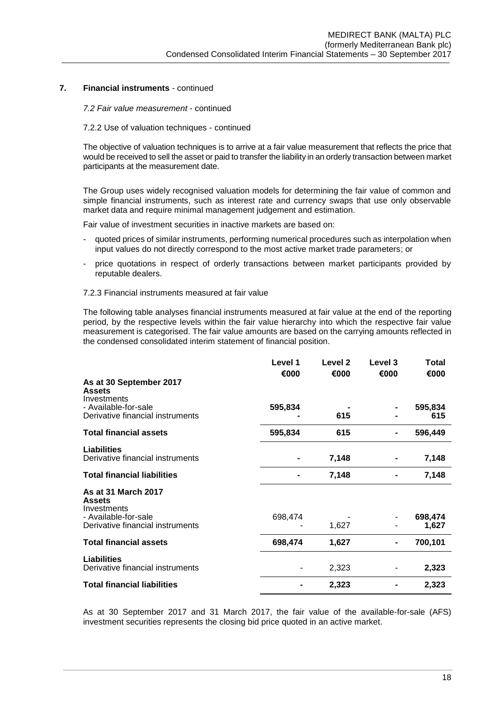*7.2 Fair value measurement* - continued

#### 7.2.2 Use of valuation techniques - continued

The objective of valuation techniques is to arrive at a fair value measurement that reflects the price that would be received to sell the asset or paid to transfer the liability in an orderly transaction between market participants at the measurement date.

The Group uses widely recognised valuation models for determining the fair value of common and simple financial instruments, such as interest rate and currency swaps that use only observable market data and require minimal management judgement and estimation.

Fair value of investment securities in inactive markets are based on:

- quoted prices of similar instruments, performing numerical procedures such as interpolation when input values do not directly correspond to the most active market trade parameters; or
- price quotations in respect of orderly transactions between market participants provided by reputable dealers.

#### 7.2.3 Financial instruments measured at fair value

The following table analyses financial instruments measured at fair value at the end of the reporting period, by the respective levels within the fair value hierarchy into which the respective fair value measurement is categorised. The fair value amounts are based on the carrying amounts reflected in the condensed consolidated interim statement of financial position.

| Level 1 | Level 2 | Level 3        | Total<br>€000  |
|---------|---------|----------------|----------------|
|         |         |                |                |
| 595,834 | 615     |                | 595,834<br>615 |
| 595,834 | 615     | -              | 596,449        |
|         | 7,148   |                | 7,148          |
|         | 7,148   |                | 7,148          |
|         |         |                |                |
| 698,474 |         |                | 698,474        |
|         |         |                | 1,627          |
| 698,474 | 1,627   | $\blacksquare$ | 700,101        |
|         | 2,323   |                | 2,323          |
|         | 2,323   |                | 2,323          |
|         | €000    | €000<br>1,627  | €000           |

As at 30 September 2017 and 31 March 2017, the fair value of the available-for-sale (AFS) investment securities represents the closing bid price quoted in an active market.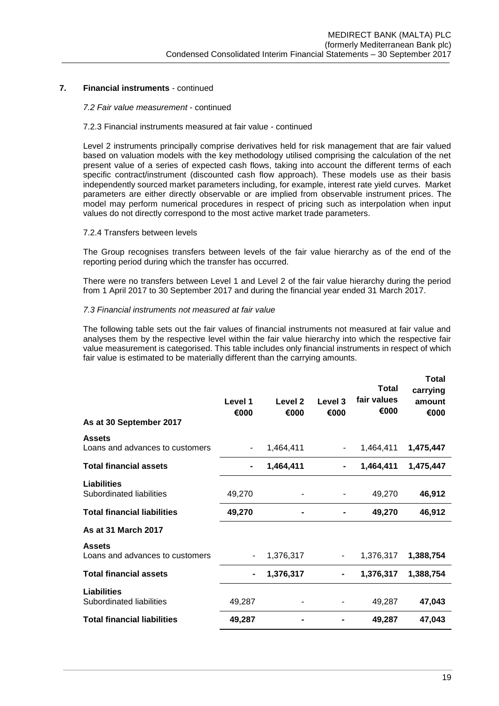#### *7.2 Fair value measurement* - continued

# 7.2.3 Financial instruments measured at fair value - continued

Level 2 instruments principally comprise derivatives held for risk management that are fair valued based on valuation models with the key methodology utilised comprising the calculation of the net present value of a series of expected cash flows, taking into account the different terms of each specific contract/instrument (discounted cash flow approach). These models use as their basis independently sourced market parameters including, for example, interest rate yield curves. Market parameters are either directly observable or are implied from observable instrument prices. The model may perform numerical procedures in respect of pricing such as interpolation when input values do not directly correspond to the most active market trade parameters.

#### 7.2.4 Transfers between levels

The Group recognises transfers between levels of the fair value hierarchy as of the end of the reporting period during which the transfer has occurred.

There were no transfers between Level 1 and Level 2 of the fair value hierarchy during the period from 1 April 2017 to 30 September 2017 and during the financial year ended 31 March 2017.

#### *7.3 Financial instruments not measured at fair value*

The following table sets out the fair values of financial instruments not measured at fair value and analyses them by the respective level within the fair value hierarchy into which the respective fair value measurement is categorised. This table includes only financial instruments in respect of which fair value is estimated to be materially different than the carrying amounts.

| As at 30 September 2017                          | Level 1<br>€000 | Level 2<br>€000 | Level 3<br>€000 | <b>Total</b><br>fair values<br>€000 | <b>Total</b><br>carrying<br>amount<br>€000 |
|--------------------------------------------------|-----------------|-----------------|-----------------|-------------------------------------|--------------------------------------------|
| <b>Assets</b><br>Loans and advances to customers |                 | 1,464,411       |                 | 1,464,411                           | 1,475,447                                  |
| <b>Total financial assets</b>                    | $\blacksquare$  | 1,464,411       |                 | 1,464,411                           | 1,475,447                                  |
| Liabilities<br>Subordinated liabilities          | 49,270          |                 |                 | 49,270                              | 46,912                                     |
| <b>Total financial liabilities</b>               | 49,270          |                 |                 | 49,270                              | 46,912                                     |
| As at 31 March 2017                              |                 |                 |                 |                                     |                                            |
| <b>Assets</b><br>Loans and advances to customers |                 | 1,376,317       |                 | 1,376,317                           | 1,388,754                                  |
| <b>Total financial assets</b>                    | $\blacksquare$  | 1,376,317       |                 | 1,376,317                           | 1,388,754                                  |
| <b>Liabilities</b><br>Subordinated liabilities   | 49,287          |                 |                 | 49,287                              | 47,043                                     |
| <b>Total financial liabilities</b>               | 49,287          |                 |                 | 49,287                              | 47,043                                     |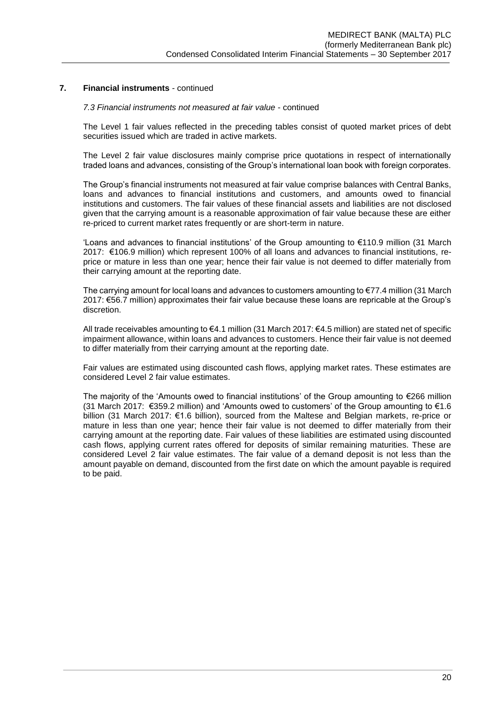*7.3 Financial instruments not measured at fair value* - continued

The Level 1 fair values reflected in the preceding tables consist of quoted market prices of debt securities issued which are traded in active markets.

The Level 2 fair value disclosures mainly comprise price quotations in respect of internationally traded loans and advances, consisting of the Group's international loan book with foreign corporates.

The Group's financial instruments not measured at fair value comprise balances with Central Banks, loans and advances to financial institutions and customers, and amounts owed to financial institutions and customers. The fair values of these financial assets and liabilities are not disclosed given that the carrying amount is a reasonable approximation of fair value because these are either re-priced to current market rates frequently or are short-term in nature.

'Loans and advances to financial institutions' of the Group amounting to €110.9 million (31 March 2017: €106.9 million) which represent 100% of all loans and advances to financial institutions, reprice or mature in less than one year; hence their fair value is not deemed to differ materially from their carrying amount at the reporting date.

The carrying amount for local loans and advances to customers amounting to  $\epsilon$ 77.4 million (31 March 2017: €56.7 million) approximates their fair value because these loans are repricable at the Group's discretion.

All trade receivables amounting to €4.1 million (31 March 2017: €4.5 million) are stated net of specific impairment allowance, within loans and advances to customers. Hence their fair value is not deemed to differ materially from their carrying amount at the reporting date.

Fair values are estimated using discounted cash flows, applying market rates. These estimates are considered Level 2 fair value estimates.

The majority of the 'Amounts owed to financial institutions' of the Group amounting to €266 million (31 March 2017: €359.2 million) and 'Amounts owed to customers' of the Group amounting to €1.6 billion (31 March 2017: €1.6 billion), sourced from the Maltese and Belgian markets, re-price or mature in less than one year; hence their fair value is not deemed to differ materially from their carrying amount at the reporting date. Fair values of these liabilities are estimated using discounted cash flows, applying current rates offered for deposits of similar remaining maturities. These are considered Level 2 fair value estimates. The fair value of a demand deposit is not less than the amount payable on demand, discounted from the first date on which the amount payable is required to be paid.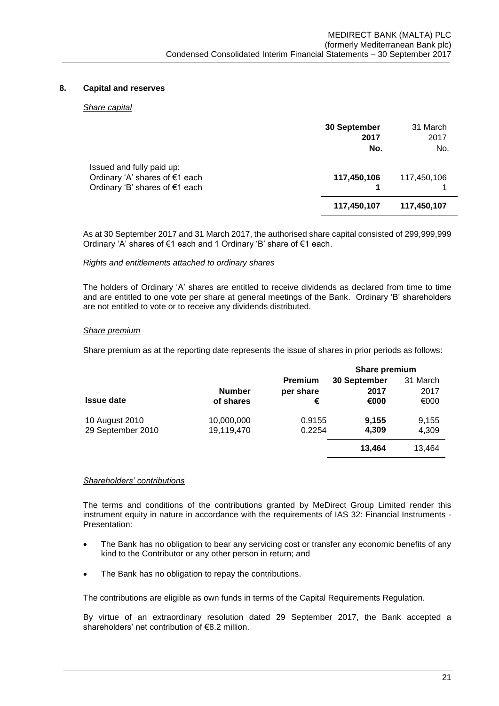# **8. Capital and reserves**

#### *Share capital*

|                                                                                                         | 30 September<br>2017<br>No. | 31 March<br>2017<br>No. |
|---------------------------------------------------------------------------------------------------------|-----------------------------|-------------------------|
| Issued and fully paid up:<br>Ordinary 'A' shares of €1 each<br>Ordinary 'B' shares of $\epsilon$ 1 each | 117,450,106                 | 117,450,106             |
|                                                                                                         | 117,450,107                 | 117,450,107             |

As at 30 September 2017 and 31 March 2017, the authorised share capital consisted of 299,999,999 Ordinary 'A' shares of €1 each and 1 Ordinary 'B' share of €1 each.

#### *Rights and entitlements attached to ordinary shares*

The holders of Ordinary 'A' shares are entitled to receive dividends as declared from time to time and are entitled to one vote per share at general meetings of the Bank. Ordinary 'B' shareholders are not entitled to vote or to receive any dividends distributed.

#### *Share premium*

Share premium as at the reporting date represents the issue of shares in prior periods as follows:

|                   |               |                |              | Share premium |  |
|-------------------|---------------|----------------|--------------|---------------|--|
|                   |               | <b>Premium</b> | 30 September | 31 March      |  |
|                   | <b>Number</b> | per share      | 2017         | 2017          |  |
| <b>Issue date</b> | of shares     | €              | €000         | €000          |  |
| 10 August 2010    | 10,000,000    | 0.9155         | 9,155        | 9,155         |  |
| 29 September 2010 | 19,119,470    | 0.2254         | 4,309        | 4,309         |  |
|                   |               |                | 13,464       | 13,464        |  |
|                   |               |                |              |               |  |

#### *Shareholders' contributions*

The terms and conditions of the contributions granted by MeDirect Group Limited render this instrument equity in nature in accordance with the requirements of IAS 32: Financial Instruments - Presentation:

- The Bank has no obligation to bear any servicing cost or transfer any economic benefits of any kind to the Contributor or any other person in return; and
- The Bank has no obligation to repay the contributions.

The contributions are eligible as own funds in terms of the Capital Requirements Regulation.

By virtue of an extraordinary resolution dated 29 September 2017, the Bank accepted a shareholders' net contribution of €8.2 million.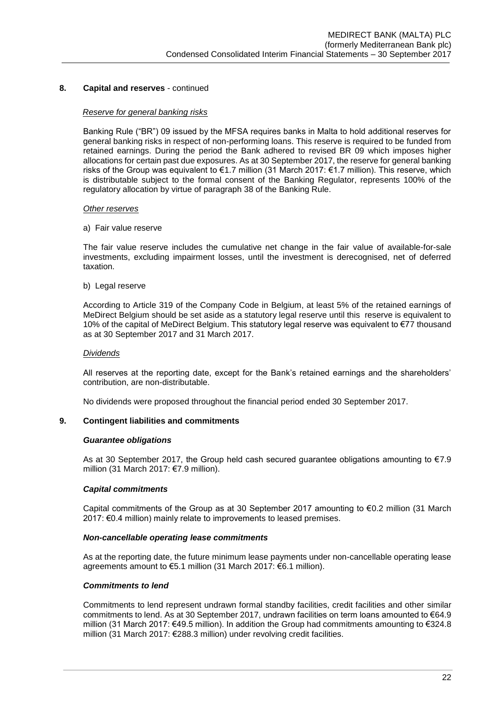### **8. Capital and reserves** - continued

#### *Reserve for general banking risks*

Banking Rule ("BR") 09 issued by the MFSA requires banks in Malta to hold additional reserves for general banking risks in respect of non-performing loans. This reserve is required to be funded from retained earnings. During the period the Bank adhered to revised BR 09 which imposes higher allocations for certain past due exposures. As at 30 September 2017, the reserve for general banking risks of the Group was equivalent to €1.7 million (31 March 2017: €1.7 million). This reserve, which is distributable subject to the formal consent of the Banking Regulator, represents 100% of the regulatory allocation by virtue of paragraph 38 of the Banking Rule.

#### *Other reserves*

#### a) Fair value reserve

The fair value reserve includes the cumulative net change in the fair value of available-for-sale investments, excluding impairment losses, until the investment is derecognised, net of deferred taxation.

b) Legal reserve

According to Article 319 of the Company Code in Belgium, at least 5% of the retained earnings of MeDirect Belgium should be set aside as a statutory legal reserve until this reserve is equivalent to 10% of the capital of MeDirect Belgium. This statutory legal reserve was equivalent to €77 thousand as at 30 September 2017 and 31 March 2017.

#### *Dividends*

All reserves at the reporting date, except for the Bank's retained earnings and the shareholders' contribution, are non-distributable.

No dividends were proposed throughout the financial period ended 30 September 2017.

#### **9. Contingent liabilities and commitments**

#### *Guarantee obligations*

As at 30 September 2017, the Group held cash secured quarantee obligations amounting to  $\epsilon$ 7.9 million (31 March 2017: €7.9 million).

#### *Capital commitments*

Capital commitments of the Group as at 30 September 2017 amounting to €0.2 million (31 March 2017: €0.4 million) mainly relate to improvements to leased premises.

#### *Non-cancellable operating lease commitments*

As at the reporting date, the future minimum lease payments under non-cancellable operating lease agreements amount to €5.1 million (31 March 2017: €6.1 million).

#### *Commitments to lend*

Commitments to lend represent undrawn formal standby facilities, credit facilities and other similar commitments to lend. As at 30 September 2017, undrawn facilities on term loans amounted to €64.9 million (31 March 2017: €49.5 million). In addition the Group had commitments amounting to €324.8 million (31 March 2017: €288.3 million) under revolving credit facilities.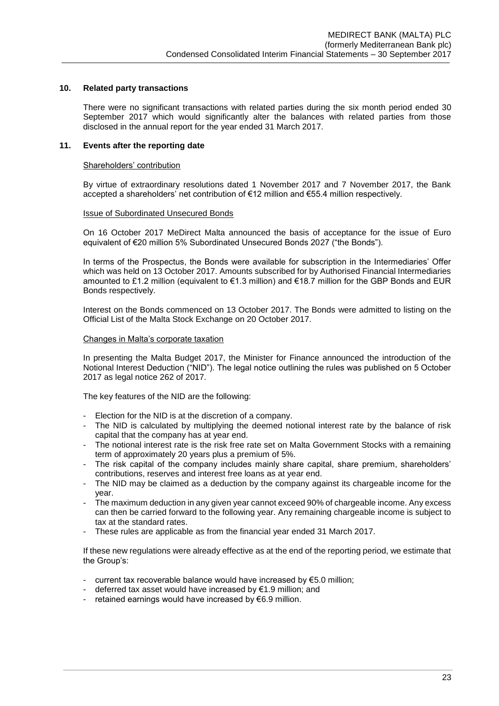# **10. Related party transactions**

There were no significant transactions with related parties during the six month period ended 30 September 2017 which would significantly alter the balances with related parties from those disclosed in the annual report for the year ended 31 March 2017.

#### **11. Events after the reporting date**

### Shareholders' contribution

By virtue of extraordinary resolutions dated 1 November 2017 and 7 November 2017, the Bank accepted a shareholders' net contribution of €12 million and €55.4 million respectively.

#### Issue of Subordinated Unsecured Bonds

On 16 October 2017 MeDirect Malta announced the basis of acceptance for the issue of Euro equivalent of €20 million 5% Subordinated Unsecured Bonds 2027 ("the Bonds").

In terms of the Prospectus, the Bonds were available for subscription in the Intermediaries' Offer which was held on 13 October 2017. Amounts subscribed for by Authorised Financial Intermediaries amounted to £1.2 million (equivalent to €1.3 million) and €18.7 million for the GBP Bonds and EUR Bonds respectively.

Interest on the Bonds commenced on 13 October 2017. The Bonds were admitted to listing on the Official List of the Malta Stock Exchange on 20 October 2017.

#### Changes in Malta's corporate taxation

In presenting the Malta Budget 2017, the Minister for Finance announced the introduction of the Notional Interest Deduction ("NID"). The legal notice outlining the rules was published on 5 October 2017 as legal notice 262 of 2017.

The key features of the NID are the following:

- Election for the NID is at the discretion of a company.
- The NID is calculated by multiplying the deemed notional interest rate by the balance of risk capital that the company has at year end.
- The notional interest rate is the risk free rate set on Malta Government Stocks with a remaining term of approximately 20 years plus a premium of 5%.
- The risk capital of the company includes mainly share capital, share premium, shareholders' contributions, reserves and interest free loans as at year end.
- The NID may be claimed as a deduction by the company against its chargeable income for the year.
- The maximum deduction in any given year cannot exceed 90% of chargeable income. Any excess can then be carried forward to the following year. Any remaining chargeable income is subject to tax at the standard rates.
- These rules are applicable as from the financial year ended 31 March 2017.

If these new regulations were already effective as at the end of the reporting period, we estimate that the Group's:

- current tax recoverable balance would have increased by €5.0 million;
- deferred tax asset would have increased by €1.9 million; and
- retained earnings would have increased by €6.9 million.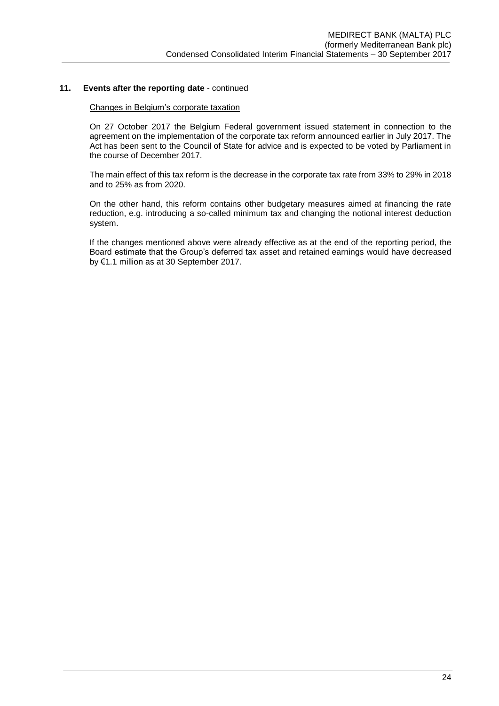# **11. Events after the reporting date** - continued

#### Changes in Belgium's corporate taxation

On 27 October 2017 the Belgium Federal government issued statement in connection to the agreement on the implementation of the corporate tax reform announced earlier in July 2017. The Act has been sent to the Council of State for advice and is expected to be voted by Parliament in the course of December 2017.

The main effect of this tax reform is the decrease in the corporate tax rate from 33% to 29% in 2018 and to 25% as from 2020.

On the other hand, this reform contains other budgetary measures aimed at financing the rate reduction, e.g. introducing a so-called minimum tax and changing the notional interest deduction system.

If the changes mentioned above were already effective as at the end of the reporting period, the Board estimate that the Group's deferred tax asset and retained earnings would have decreased by €1.1 million as at 30 September 2017.